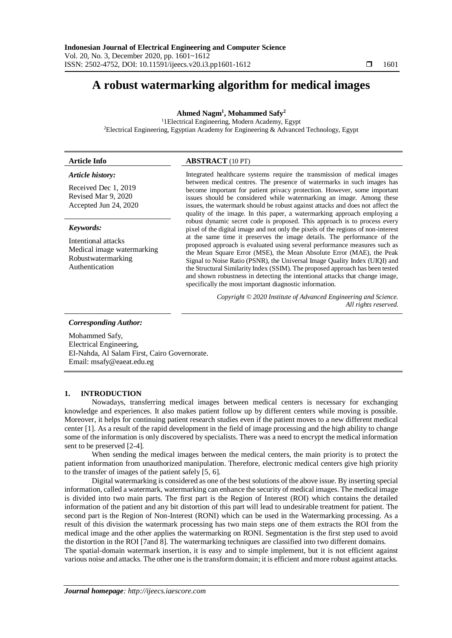# **A robust watermarking algorithm for medical images**

**Ahmed Nagm<sup>1</sup> , Mohammed Safy<sup>2</sup>**

<sup>1</sup>1Electrical Engineering, Modern Academy, Egypt <sup>2</sup>Electrical Engineering, Egyptian Academy for Engineering & Advanced Technology, Egypt

# **Article Info ABSTRACT** (10 PT)

#### *Article history:*

Received Dec 1, 2019 Revised Mar 9, 2020 Accepted Jun 24, 2020

#### *Keywords:*

Intentional attacks Medical image watermarking Robustwatermarking Authentication

Integrated healthcare systems require the transmission of medical images between medical centres. The presence of watermarks in such images has become important for patient privacy protection. However, some important issues should be considered while watermarking an image. Among these issues, the watermark should be robust against attacks and does not affect the quality of the image. In this paper, a watermarking approach employing a robust dynamic secret code is proposed. This approach is to process every pixel of the digital image and not only the pixels of the regions of non-interest at the same time it preserves the image details. The performance of the proposed approach is evaluated using several performance measures such as the Mean Square Error (MSE), the Mean Absolute Error (MAE), the Peak Signal to Noise Ratio (PSNR), the Universal Image Quality Index (UIQI) and the Structural Similarity Index (SSIM). The proposed approach has been tested and shown robustness in detecting the intentional attacks that change image, specifically the most important diagnostic information.

> *Copyright © 2020 Institute of Advanced Engineering and Science. All rights reserved.*

*Corresponding Author:*

Mohammed Safy, Electrical Engineering, El-Nahda, Al Salam First, Cairo Governorate. Email: msafy@eaeat.edu.eg

#### **1. INTRODUCTION**

Nowadays, transferring medical images between medical centers is necessary for exchanging knowledge and experiences. It also makes patient follow up by different centers while moving is possible. Moreover, it helps for continuing patient research studies even if the patient moves to a new different medical center [1]. As a result of the rapid development in the field of image processing and the high ability to change some of the information is only discovered by specialists. There was a need to encrypt the medical information sent to be preserved [2-4].

When sending the medical images between the medical centers, the main priority is to protect the patient information from unauthorized manipulation. Therefore, electronic medical centers give high priority to the transfer of images of the patient safely [5, 6].

Digital watermarking is considered as one of the best solutions of the above issue. By inserting special information, called a watermark, watermarking can enhance the security of medical images. The medical image is divided into two main parts. The first part is the Region of Interest (ROI) which contains the detailed information of the patient and any bit distortion of this part will lead to undesirable treatment for patient. The second part is the Region of Non-Interest (RONI) which can be used in the Watermarking processing. As a result of this division the watermark processing has two main steps one of them extracts the ROI from the medical image and the other applies the watermarking on RONI. Segmentation is the first step used to avoid the distortion in the ROI [7and 8]. The watermarking techniques are classified into two different domains. The spatial-domain watermark insertion, it is easy and to simple implement, but it is not efficient against various noise and attacks. The other one is the transform domain; it is efficient and more robust against attacks.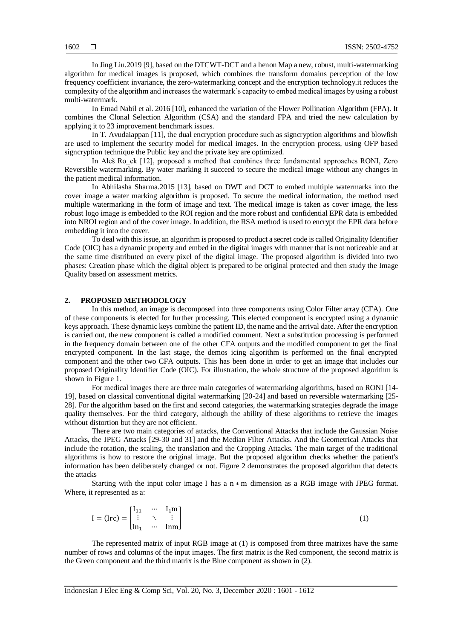In Jing Liu.2019 [9], based on the DTCWT-DCT and a henon Map a new, robust, multi-watermarking algorithm for medical images is proposed, which combines the transform domains perception of the low frequency coefficient invariance, the zero-watermarking concept and the encryption technology.it reduces the complexity of the algorithm and increases the watermark's capacity to embed medical images by using a robust multi-watermark.

In Emad Nabil et al. 2016 [10], enhanced the variation of the Flower Pollination Algorithm (FPA). It combines the Clonal Selection Algorithm (CSA) and the standard FPA and tried the new calculation by applying it to 23 improvement benchmark issues.

In T. Avudaiappan [11], the dual encryption procedure such as signcryption algorithms and blowfish are used to implement the security model for medical images. In the encryption process, using OFP based signcryption technique the Public key and the private key are optimized.

In Aleš Ro\_ek [12], proposed a method that combines three fundamental approaches RONI, Zero Reversible watermarking. By water marking It succeed to secure the medical image without any changes in the patient medical information.

In Abhilasha Sharma.2015 [13], based on DWT and DCT to embed multiple watermarks into the cover image a water marking algorithm is proposed. To secure the medical information, the method used multiple watermarking in the form of image and text. The medical image is taken as cover image, the less robust logo image is embedded to the ROI region and the more robust and confidential EPR data is embedded into NROI region and of the cover image. In addition, the RSA method is used to encrypt the EPR data before embedding it into the cover.

To deal with this issue, an algorithm is proposed to product a secret code is called Originality Identifier Code (OIC) has a dynamic property and embed in the digital images with manner that is not noticeable and at the same time distributed on every pixel of the digital image. The proposed algorithm is divided into two phases: Creation phase which the digital object is prepared to be original protected and then study the Image Quality based on assessment metrics.

#### **2. PROPOSED METHODOLOGY**

In this method, an image is decomposed into three components using Color Filter array (CFA). One of these components is elected for further processing. This elected component is encrypted using a dynamic keys approach. These dynamic keys combine the patient ID, the name and the arrival date. After the encryption is carried out, the new component is called a modified comment. Next a substitution processing is performed in the frequency domain between one of the other CFA outputs and the modified component to get the final encrypted component. In the last stage, the demos icing algorithm is performed on the final encrypted component and the other two CFA outputs. This has been done in order to get an image that includes our proposed Originality Identifier Code (OIC). For illustration, the whole structure of the proposed algorithm is shown in Figure 1.

For medical images there are three main categories of watermarking algorithms, based on RONI [14- 19], based on classical conventional digital watermarking [20-24] and based on reversible watermarking [25- 28]. For the algorithm based on the first and second categories, the watermarking strategies degrade the image quality themselves. For the third category, although the ability of these algorithms to retrieve the images without distortion but they are not efficient.

There are two main categories of attacks, the Conventional Attacks that include the Gaussian Noise Attacks, the JPEG Attacks [29-30 and 31] and the Median Filter Attacks. And the Geometrical Attacks that include the rotation, the scaling, the translation and the Cropping Attacks. The main target of the traditional algorithms is how to restore the original image. But the proposed algorithm checks whether the patient's information has been deliberately changed or not. Figure 2 demonstrates the proposed algorithm that detects the attacks

Starting with the input color image I has a n ∗ m dimension as a RGB image with JPEG format. Where, it represented as a:

$$
I = (Irc) = \begin{bmatrix} I_{11} & \cdots & I_{1}m \\ \vdots & \ddots & \vdots \\ In_1 & \cdots & Inm \end{bmatrix}
$$
 (1)

The represented matrix of input RGB image at (1) is composed from three matrixes have the same number of rows and columns of the input images. The first matrix is the Red component, the second matrix is the Green component and the third matrix is the Blue component as shown in (2).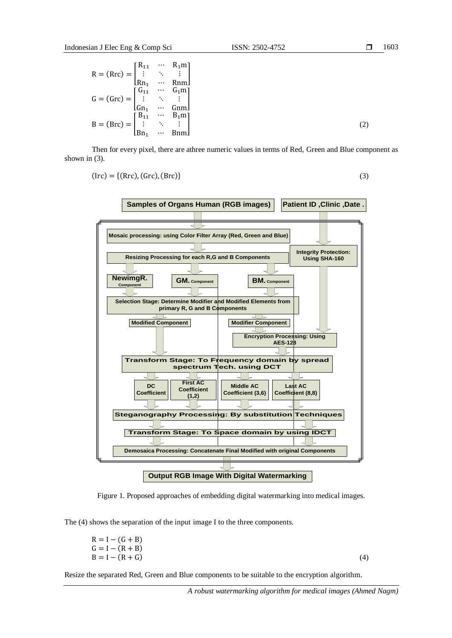$$
R = (Rrc) = \begin{bmatrix} R_{11} & \cdots & R_{1}m \\ \vdots & \ddots & \vdots \\ Rn_{1} & \cdots & Rnm \end{bmatrix}
$$
  
\n
$$
G = (Grc) = \begin{bmatrix} G_{11} & \cdots & G_{1}m \\ \vdots & \ddots & \vdots \\ Gn_{1} & \cdots & Gnm \end{bmatrix}
$$
  
\n
$$
B = (Brc) = \begin{bmatrix} B_{11} & \cdots & B_{1}m \\ \vdots & \ddots & \vdots \\ Bn_{1} & \cdots & Bnm \end{bmatrix}
$$
 (2)

Then for every pixel, there are athree numeric values in terms of Red, Green and Blue component as shown in (3).

$$
(\text{Irc}) = \{ (\text{Rrc}), (\text{Grc}), (\text{Brc}) \} \tag{3}
$$



Figure 1. Proposed approaches of embedding digital watermarking into medical images.

The (4) shows the separation of the input image I to the three components.

$$
R = I - (G + B)G = I - (R + B)B = I - (R + G)
$$
 (4)

Resize the separated Red, Green and Blue components to be suitable to the encryption algorithm.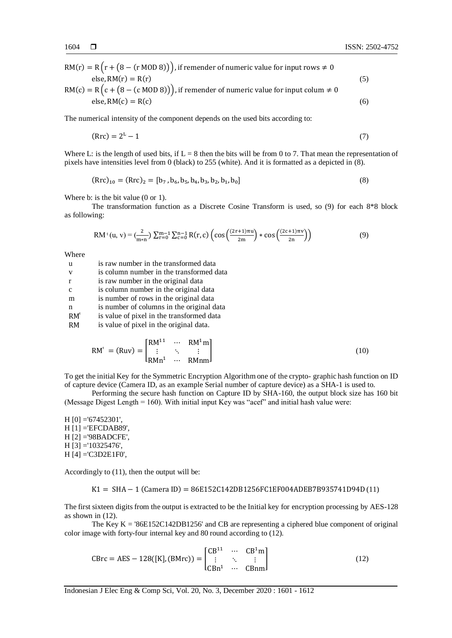$RM(r) = R(r + (8 - (r \text{ MOD } 8)))$ , if remender of numeric value for input rows  $\neq 0$  $else, RM(r) = R(r)$  (5)

$$
RM(c) = R(c + (8 - (c \text{ MOD } 8)))
$$
, if remember of numeric value for input column  $\neq 0$   
else, RM(c) = R(c) (6)

The numerical intensity of the component depends on the used bits according to:

$$
(\text{Rrc}) = 2^{\text{L}} - 1 \tag{7}
$$

Where L: is the length of used bits, if  $L = 8$  then the bits will be from 0 to 7. That mean the representation of pixels have intensities level from 0 (black) to 255 (white). And it is formatted as a depicted in (8).

$$
(\text{Rrc})_{10} = (\text{Rrc})_2 = [b_7, b_6, b_5, b_4, b_3, b_2, b_1, b_0]
$$
\n(8)

Where b: is the bit value (0 or 1).

The transformation function as a Discrete Cosine Transform is used, so (9) for each 8\*8 block as following:

$$
RM^{t}(u, v) = \left(\frac{2}{m*n}\right) \sum_{r=0}^{m-1} \sum_{c=0}^{n-1} R(r, c) \left(\cos\left(\frac{(2r+1)\pi u}{2m}\right) * \cos\left(\frac{(2c+1)\pi v}{2n}\right)\right)
$$
(9)

Where

| -11          | is raw number in the transformed data     |
|--------------|-------------------------------------------|
| V            | is column number in the transformed data  |
| $\mathbf{r}$ | is raw number in the original data        |
| c            | is column number in the original data     |
| m            | is number of rows in the original data    |
| n            | is number of columns in the original data |
| $RM^t$       | is value of pixel in the transformed data |
| <b>RM</b>    | is value of pixel in the original data.   |
|              |                                           |

$$
RM^{t} = (Ruv) = \begin{bmatrix} RM^{11} & \cdots & RM^{1}m \\ \vdots & \ddots & \vdots \\ RM^{n1} & \cdots & RM^{nm} \end{bmatrix}
$$
 (10)

To get the initial Key for the Symmetric Encryption Algorithm one of the crypto- graphic hash function on ID of capture device (Camera ID, as an example Serial number of capture device) as a SHA-1 is used to.

Performing the secure hash function on Capture ID by SHA-160, the output block size has 160 bit (Message Digest Length  $= 160$ ). With initial input Key was "acef" and initial hash value were:

H [0] ='67452301',  $H [1] = EFCDAB89'$ , H [2] ='98BADCFE', H [3] ='10325476',  $H [4] = C3D2E1F0',$ 

Accordingly to (11), then the output will be:

K1 = SHA − 1 (Camera ID) = 86E152C142DB1256FC1EF004ADEB7B935741D94D (11)

The first sixteen digits from the output is extracted to be the Initial key for encryption processing by AES-128 as shown in (12).

The Key K  $=$  '86E152C142DB1256' and CB are representing a ciphered blue component of original color image with forty-four internal key and 80 round according to (12).

$$
CBrc = AES - 128([K], (BMrc)) = \begin{bmatrix} CB^{11} & \cdots & CB^{1}m \\ \vdots & \ddots & \vdots \\ CBn^{1} & \cdots & CBnm \end{bmatrix}
$$
 (12)

Indonesian J Elec Eng & Comp Sci, Vol. 20, No. 3, December 2020 : 1601 - 1612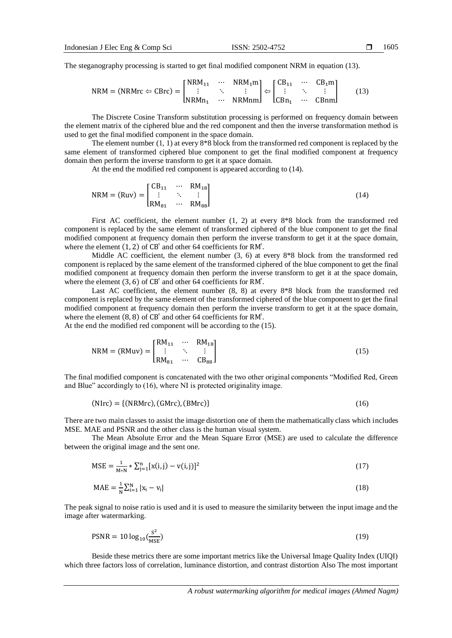The steganography processing is started to get final modified component NRM in equation (13).

$$
NRM = (NRMrc \Leftrightarrow CBrc) = \begin{bmatrix} NRM_{11} & \cdots & NRM_{1}m \\ \vdots & \ddots & \vdots \\ NRM_{11} & \cdots & NRM_{1m} \end{bmatrix} \Leftrightarrow \begin{bmatrix} CB_{11} & \cdots & CB_{1}m \\ \vdots & \ddots & \vdots \\ CB_{11} & \cdots & CB_{1m} \end{bmatrix}
$$
 (13)

The Discrete Cosine Transform substitution processing is performed on frequency domain between the element matrix of the ciphered blue and the red component and then the inverse transformation method is used to get the final modified component in the space domain.

The element number (1, 1) at every 8\*8 block from the transformed red component is replaced by the same element of transformed ciphered blue component to get the final modified component at frequency domain then perform the inverse transform to get it at space domain.

At the end the modified red component is appeared according to (14).

$$
NRM = (Ruv) = \begin{bmatrix} CB_{11} & \cdots & RM_{18} \\ \vdots & \ddots & \vdots \\ RM_{81} & \cdots & RM_{88} \end{bmatrix}
$$
 (14)

First AC coefficient, the element number (1, 2) at every 8\*8 block from the transformed red component is replaced by the same element of transformed ciphered of the blue component to get the final modified component at frequency domain then perform the inverse transform to get it at the space domain, where the element  $(1, 2)$  of  $CB^t$  and other 64 coefficients for RM<sup>t</sup>.

Middle AC coefficient, the element number  $(3, 6)$  at every  $8*8$  block from the transformed red component is replaced by the same element of the transformed ciphered of the blue component to get the final modified component at frequency domain then perform the inverse transform to get it at the space domain, where the element  $(3, 6)$  of CB<sup>t</sup> and other 64 coefficients for RM<sup>t</sup>.

Last AC coefficient, the element number  $(8, 8)$  at every  $8*8$  block from the transformed red component is replaced by the same element of the transformed ciphered of the blue component to get the final modified component at frequency domain then perform the inverse transform to get it at the space domain, where the element  $(8, 8)$  of  $CB<sup>t</sup>$  and other 64 coefficients for RM<sup>t</sup>.

At the end the modified red component will be according to the (15).

$$
NRM = (RMuv) = \begin{bmatrix} RM_{11} & \cdots & RM_{18} \\ \vdots & \ddots & \vdots \\ RM_{81} & \cdots & CB_{88} \end{bmatrix}
$$
 (15)

The final modified component is concatenated with the two other original components "Modified Red, Green and Blue" accordingly to (16), where NI is protected originality image.

$$
(Nirc) = \{ (NRMrc), (GMrc), (BMrc) \}
$$
 (16)

There are two main classes to assist the image distortion one of them the mathematically class which includes MSE. MAE and PSNR and the other class is the human visual system.

The Mean Absolute Error and the Mean Square Error (MSE) are used to calculate the difference between the original image and the sent one.

$$
MSE = \frac{1}{M*N} * \sum_{j=1}^{n} [x(i,j) - v(i,j)]^2
$$
 (17)

$$
MAE = \frac{1}{N} \sum_{i=1}^{N} |x_i - v_i|
$$
\n(18)

The peak signal to noise ratio is used and it is used to measure the similarity between the input image and the image after watermarking.

$$
PSNR = 10 \log_{10} \left( \frac{S^2}{MSE} \right) \tag{19}
$$

Beside these metrics there are some important metrics like the Universal Image Quality Index (UIQI) which three factors loss of correlation, luminance distortion, and contrast distortion Also The most important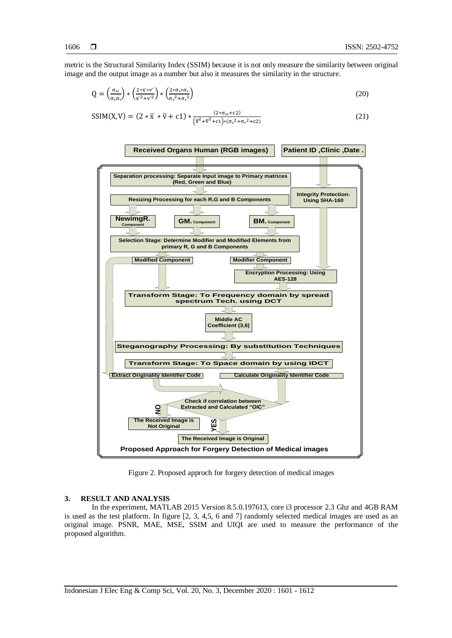metric is the Structural Similarity Index (SSIM) because it is not only measure the similarity between original image and the output image as a number but also it measures the similarity in the structure.

$$
Q = \left(\frac{\sigma_{xy}}{\sigma_x \sigma_y}\right) * \left(\frac{2 * x * v^2}{x^2 + v^2}\right) * \left(\frac{2 * \sigma_x * \sigma_y}{\sigma_x^2 + \sigma_y^2}\right)
$$
\n(20)

$$
SSIM(X, V) = (2 * \overline{x} * \overline{v} + c1) * \frac{(2 * \sigma_{xy} + c2)}{(\overline{x}^2 + \overline{v}^2 + c1) * (\sigma_x^2 + \sigma_y^2 + c2)}
$$
(21)



Figure 2. Proposed approch for forgery detection of medical images

### **3. RESULT AND ANALYSIS**

In the experiment, MATLAB 2015 Version 8.5.0.197613, core i3 processor 2.3 Ghz and 4GB RAM is used as the test platform. In figure [2, 3, 4,5, 6 and 7] randomly selected medical images are used as an original image. PSNR, MAE, MSE, SSIM and UIQI are used to measure the performance of the proposed algorithm.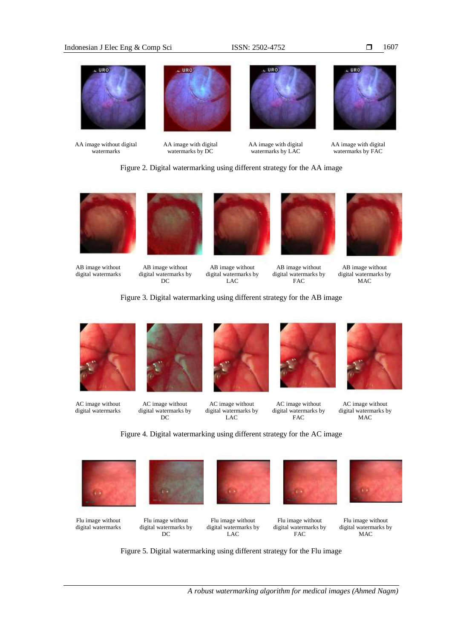#### Indonesian J Elec Eng & Comp Sci ISSN: 2502-4752



AA image without digital watermarks

AA image with digital watermarks by DC

watermarks by LAC



AA image with digital watermarks by FAC

Figure 2. Digital watermarking using different strategy for the AA image



AB image without digital watermarks



AB image without digital watermarks by DC



AB image without digital watermarks by LAC



AB image without digital watermarks by FAC



AB image without digital watermarks by MAC

Figure 3. Digital watermarking using different strategy for the AB image



AC image without digital watermarks



AC image without digital watermarks by DC



AC image without digital watermarks by LAC



AC image without digital watermarks by FAC



AC image without digital watermarks by MAC

Figure 4. Digital watermarking using different strategy for the AC image



Flu image without digital watermarks



Flu image without digital watermarks by DC



Flu image without digital watermarks by LAC





Flu image without digital watermarks by MAC

Figure 5. Digital watermarking using different strategy for the Flu image

1607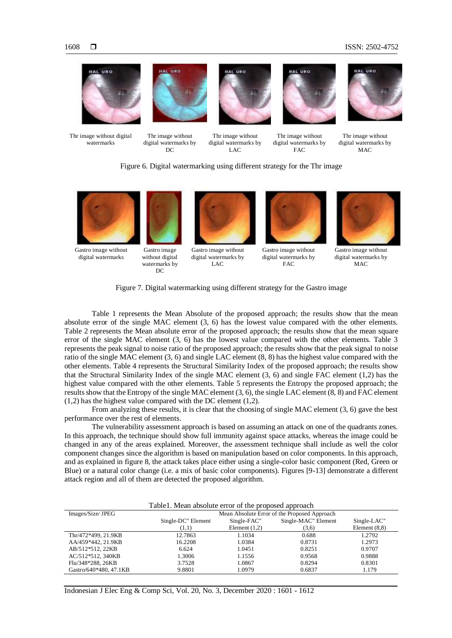





Thr image without digital watermarks by  $DC$ 

Gastro image without digital watermarks by DC



Thr image without digital watermarks by  $LAC$ 



Thr image without digital watermarks by FAC



Thr image without digital watermarks by  $MAC$ 

### Figure 6. Digital watermarking using different strategy for the Thr image



Gastro image without digital watermarks



Gastro image without digital watermarks by  $LAC$ 



Gastro image without digital watermarks by  $FAC$ 



Gastro image without digital watermarks by  $MAC$ 

## Figure 7. Digital watermarking using different strategy for the Gastro image

Table 1 represents the Mean Absolute of the proposed approach; the results show that the mean absolute error of the single MAC element (3, 6) has the lowest value compared with the other elements. Table 2 represents the Mean absolute error of the proposed approach; the results show that the mean square error of the single MAC element (3, 6) has the lowest value compared with the other elements. Table 3 represents the peak signal to noise ratio of the proposed approach; the results show that the peak signal to noise ratio of the single MAC element (3, 6) and single LAC element (8, 8) has the highest value compared with the other elements. Table 4 represents the Structural Similarity Index of the proposed approach; the results show that the Structural Similarity Index of the single MAC element (3, 6) and single FAC element (1,2) has the highest value compared with the other elements. Table 5 represents the Entropy the proposed approach; the results show that the Entropy of the single MAC element (3, 6), the single LAC element (8, 8) and FAC element (1,2) has the highest value compared with the DC element (1,2).

From analyzing these results, it is clear that the choosing of single MAC element (3, 6) gave the best performance over the rest of elements.

The vulnerability assessment approach is based on assuming an attack on one of the quadrants zones. In this approach, the technique should show full immunity against space attacks, whereas the image could be changed in any of the areas explained. Moreover, the assessment technique shall include as well the color component changes since the algorithm is based on manipulation based on color components. In this approach, and as explained in figure 8, the attack takes place either using a single-color basic component (Red, Green or Blue) or a natural color change (i.e. a mix of basic color components). Figures [9-13] demonstrate a different attack region and all of them are detected the proposed algorithm.

| Table 1. Mean absolute error of the proposed approach |                                              |                 |                     |                 |
|-------------------------------------------------------|----------------------------------------------|-----------------|---------------------|-----------------|
| Images/Size/ JPEG                                     | Mean Absolute Error of the Proposed Approach |                 |                     |                 |
|                                                       | Single-DC" Element                           | Single-FAC"     | Single-MAC" Element | Single-LAC"     |
|                                                       | (1,1)                                        | Element $(1,2)$ | (3,6)               | Element $(8,8)$ |
| Thr/472*499, 21.9KB                                   | 12.7863                                      | 1.1034          | 0.688               | 1.2792          |
| AA/459*442, 21.9KB                                    | 16.2208                                      | 1.0384          | 0.8731              | 1.2973          |
| AB/512*512, 22KB                                      | 6.624                                        | 1.0451          | 0.8251              | 0.9707          |
| AC/512*512, 340KB                                     | 1.3006                                       | 1.1556          | 0.9568              | 0.9888          |
| Flu/348*288, 26KB                                     | 3.7528                                       | 1.0867          | 0.8294              | 0.8301          |
| Gastro/640*480, 47.1KB                                | 9.8801                                       | 1.0979          | 0.6837              | 1.179           |

Indonesian J Elec Eng & Comp Sci, Vol. 20, No. 3, December 2020 : 1601 - 1612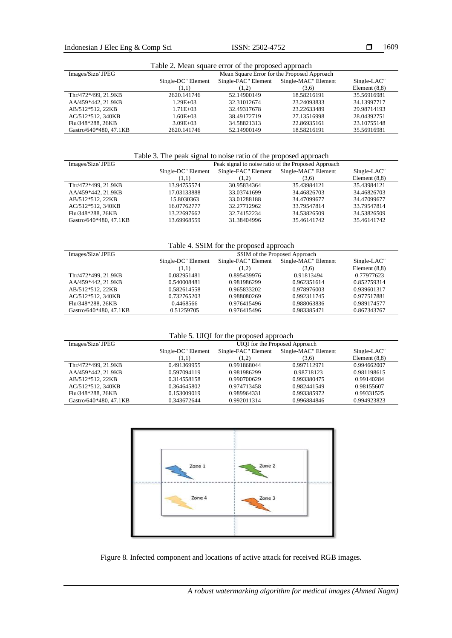| Table 2. Mean square error of the proposed approach |                                             |                     |                     |                 |
|-----------------------------------------------------|---------------------------------------------|---------------------|---------------------|-----------------|
| Images/Size/ JPEG                                   | Mean Square Error for the Proposed Approach |                     |                     |                 |
|                                                     | Single-DC" Element                          | Single-FAC" Element | Single-MAC" Element | Single-LAC"     |
|                                                     | (1,1)                                       | (1,2)               | (3,6)               | Element $(8,8)$ |
| Thr/472*499, 21.9KB                                 | 2620.141746                                 | 52.14900149         | 18.58216191         | 35.56916981     |
| AA/459*442, 21.9KB                                  | $1.29E + 03$                                | 32.31012674         | 23.24093833         | 34.13997717     |
| AB/512*512, 22KB                                    | $1.71E + 03$                                | 32.49317678         | 23.22633489         | 29.98714193     |
| AC/512*512, 340KB                                   | $1.60E + 03$                                | 38.49172719         | 27.13516998         | 28.04392751     |
| Flu/348*288, 26KB                                   | $3.09E + 03$                                | 34.58821313         | 22.86935161         | 23.10755148     |
| Gastro/640*480, 47.1KB                              | 2620.141746                                 | 52.14900149         | 18.58216191         | 35.56916981     |

# Table 3. The peak signal to noise ratio of the proposed approach

| Images/Size/ JPEG      | Peak signal to noise ratio of the Proposed Approach |                     |                     |                 |
|------------------------|-----------------------------------------------------|---------------------|---------------------|-----------------|
|                        | Single-DC" Element                                  | Single-FAC" Element | Single-MAC" Element | Single-LAC"     |
|                        | (1.1)                                               | (1,2)               | (3,6)               | Element $(8,8)$ |
| Thr/472*499, 21.9KB    | 13.94755574                                         | 30.95834364         | 35.43984121         | 35.43984121     |
| AA/459*442, 21.9KB     | 17.03133888                                         | 33.03741699         | 34.46826703         | 34.46826703     |
| AB/512*512.22KB        | 15.8030363                                          | 33.01288188         | 34.47099677         | 34.47099677     |
| AC/512*512, 340KB      | 16.07762777                                         | 32.27712962         | 33.79547814         | 33.79547814     |
| Flu/348*288, 26KB      | 13.22697662                                         | 32.74152234         | 34.53826509         | 34.53826509     |
| Gastro/640*480, 47.1KB | 13.69968559                                         | 31.38404996         | 35.46141742         | 35.46141742     |

Table 4. SSIM for the proposed approach

| Images/Size/ JPEG      | SSIM of the Proposed Approach                                    |             |             |                 |
|------------------------|------------------------------------------------------------------|-------------|-------------|-----------------|
|                        | Single-MAC" Element<br>Single-DC" Element<br>Single-FAC" Element |             | Single-LAC" |                 |
|                        | (1,1)                                                            | (1,2)       | (3,6)       | Element $(8,8)$ |
| Thr/472*499, 21.9KB    | 0.082951481                                                      | 0.895439976 | 0.91813494  | 0.77977623      |
| AA/459*442, 21.9KB     | 0.540008481                                                      | 0.981986299 | 0.962351614 | 0.852759314     |
| AB/512*512, 22KB       | 0.582614558                                                      | 0.965833202 | 0.978976003 | 0.939601317     |
| AC/512*512, 340KB      | 0.732765203                                                      | 0.988080269 | 0.992311745 | 0.977517881     |
| Flu/348*288, 26KB      | 0.4468566                                                        | 0.976415496 | 0.988063836 | 0.989174577     |
| Gastro/640*480, 47.1KB | 0.51259705                                                       | 0.976415496 | 0.983385471 | 0.867343767     |

Table 5. UIQI for the proposed approach

| Images/Size/ JPEG      | UIQI for the Proposed Approach |                     |                     |                 |
|------------------------|--------------------------------|---------------------|---------------------|-----------------|
|                        | Single-DC" Element             | Single-FAC" Element | Single-MAC" Element | Single-LAC"     |
|                        | (1,1)                          | (1,2)               | (3,6)               | Element $(8,8)$ |
| Thr/472*499, 21.9KB    | 0.491369955                    | 0.991868044         | 0.997112971         | 0.994662007     |
| AA/459*442, 21.9KB     | 0.597094119                    | 0.981986299         | 0.98718123          | 0.981198615     |
| AB/512*512, 22KB       | 0.314558158                    | 0.990700629         | 0.993380475         | 0.99140284      |
| AC/512*512, 340KB      | 0.364645802                    | 0.974713458         | 0.982441549         | 0.98155607      |
| Flu/348*288, 26KB      | 0.153009019                    | 0.989964331         | 0.993385972         | 0.99331525      |
| Gastro/640*480, 47.1KB | 0.343672644                    | 0.992011314         | 0.996884846         | 0.994923823     |



Figure 8. Infected component and locations of active attack for received RGB images.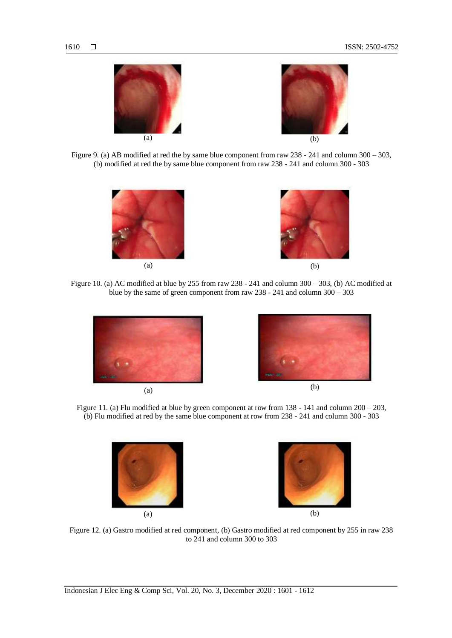



Figure 9. (a) AB modified at red the by same blue component from raw 238 - 241 and column 300 – 303, (b) modified at red the by same blue component from raw 238 - 241 and column 300 - 303





Figure 10. (a) AC modified at blue by 255 from raw 238 - 241 and column 300 – 303, (b) AC modified at blue by the same of green component from raw 238 - 241 and column 300 – 303







Figure 11. (a) Flu modified at blue by green component at row from 138 - 141 and column 200 – 203, (b) Flu modified at red by the same blue component at row from 238 - 241 and column 300 - 303



Figure 12. (a) Gastro modified at red component, (b) Gastro modified at red component by 255 in raw 238 to 241 and column 300 to 303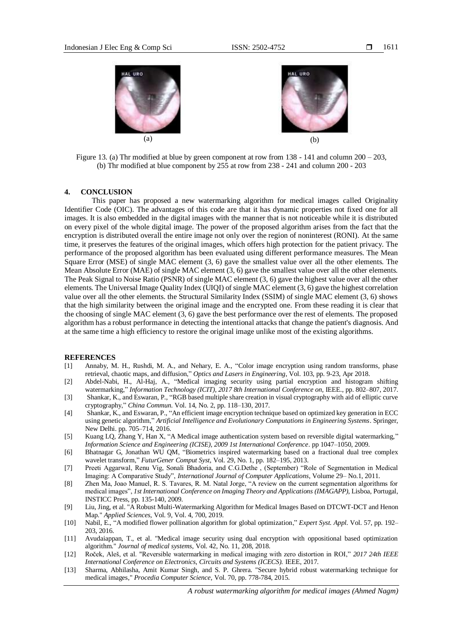



Figure 13. (a) Thr modified at blue by green component at row from 138 - 141 and column 200 – 203, (b) Thr modified at blue component by 255 at row from 238 - 241 and column 200 - 203

#### **4. CONCLUSION**

This paper has proposed a new watermarking algorithm for medical images called Originality Identifier Code (OIC). The advantages of this code are that it has dynamic properties not fixed one for all images. It is also embedded in the digital images with the manner that is not noticeable while it is distributed on every pixel of the whole digital image. The power of the proposed algorithm arises from the fact that the encryption is distributed overall the entire image not only over the region of noninterest (RONI). At the same time, it preserves the features of the original images, which offers high protection for the patient privacy. The performance of the proposed algorithm has been evaluated using different performance measures. The Mean Square Error (MSE) of single MAC element (3, 6) gave the smallest value over all the other elements. The Mean Absolute Error (MAE) of single MAC element (3, 6) gave the smallest value over all the other elements. The Peak Signal to Noise Ratio (PSNR) of single MAC element (3, 6) gave the highest value over all the other elements. The Universal Image Quality Index (UIQI) of single MAC element (3, 6) gave the highest correlation value over all the other elements. the Structural Similarity Index (SSIM) of single MAC element (3, 6) shows that the high similarity between the original image and the encrypted one. From these reading it is clear that the choosing of single MAC element (3, 6) gave the best performance over the rest of elements. The proposed algorithm has a robust performance in detecting the intentional attacks that change the patient's diagnosis. And at the same time a high efficiency to restore the original image unlike most of the existing algorithms.

#### **REFERENCES**

- [1] Annaby, M. H., Rushdi, M. A., and Nehary, E. A., "Color image encryption using random transforms, phase retrieval, chaotic maps, and diffusion," *Optics and Lasers in Engineering*, Vol. 103, pp. 9-23, Apr 2018.
- [2] Abdel-Nabi, H., Al-Haj, A., "Medical imaging security using partial encryption and histogram shifting watermarking," *Information Technology (ICIT), 2017 8th International Conference on,* IEEE., pp. 802–807, 2017.
- [3] Shankar, K., and Eswaran, P., "RGB based multiple share creation in visual cryptography with aid of elliptic curve cryptography," *China Commun*. Vol. 14, No. 2, pp. 118–130, 2017.
- [4] Shankar, K., and Eswaran, P., "An efficient image encryption technique based on optimized key generation in ECC using genetic algorithm," *Artificial Intelligence and Evolutionary Computations in Engineering Systems*. Springer, New Delhi. pp. 705–714, 2016.
- [5] Kuang LQ, Zhang Y, Han X, "A Medical image authentication system based on reversible digital watermarking," *Information Science and Engineering (ICISE), 2009 1st International Conference*. pp 1047–1050, 2009.
- [6] Bhatnagar G, Jonathan WU QM, "Biometrics inspired watermarking based on a fractional dual tree complex wavelet transform," *FuturGener Comput Syst,* Vol. 29, No. 1, pp. 182–195, 2013.
- [7] Preeti Aggarwal, Renu Vig, Sonali Bhadoria, and C.G.Dethe , (September) "Role of Segmentation in Medical Imaging: A Comparative Study", *International Journal of Computer Applications*, Volume 29– No.1, 2011.
- [8] Zhen Ma, Joao Manuel, R. S. Tavares, R. M. Natal Jorge, "A review on the current segmentation algorithms for medical images", *1st International Conference on Imaging Theory and Applications (IMAGAPP)*, Lisboa, Portugal, INSTICC Press, pp. 135-140, 2009.
- [9] Liu, Jing, et al. "A Robust Multi-Watermarking Algorithm for Medical Images Based on DTCWT-DCT and Henon Map." *Applied Sciences*, Vol. 9, Vol. 4, 700, 2019.
- [10] Nabil, E., "A modified flower pollination algorithm for global optimization," *Expert Syst. Appl*. Vol. 57, pp. 192– 203, 2016.
- [11] Avudaiappan, T., et al. "Medical image security using dual encryption with oppositional based optimization algorithm." *Journal of medical systems*, Vol. 42, No. 11, 208, 2018.
- [12] Roček, Aleš, et al. "Reversible watermarking in medical imaging with zero distortion in ROI," *2017 24th IEEE International Conference on Electronics, Circuits and Systems (ICECS).* IEEE, 2017.
- [13] Sharma, Abhilasha, Amit Kumar Singh, and S. P. Ghrera. "Secure hybrid robust watermarking technique for medical images," *Procedia Computer Science,* Vol. 70, pp. 778-784, 2015.